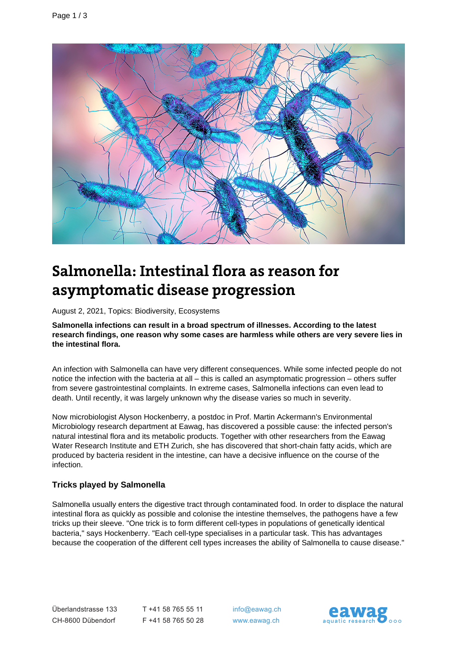

# **Salmonella: Intestinal flora as reason for asymptomatic disease progression**

August 2, 2021, Topics: Biodiversity, Ecosystems

**Salmonella infections can result in a broad spectrum of illnesses. According to the latest research findings, one reason why some cases are harmless while others are very severe lies in the intestinal flora.**

An infection with Salmonella can have very different consequences. While some infected people do not notice the infection with the bacteria at all – this is called an asymptomatic progression – others suffer from severe gastrointestinal complaints. In extreme cases, Salmonella infections can even lead to death. Until recently, it was largely unknown why the disease varies so much in severity.

Now microbiologist Alyson Hockenberry, a postdoc in Prof. Martin Ackermann's Environmental Microbiology research department at Eawag, has discovered a possible cause: the infected person's natural intestinal flora and its metabolic products. Together with other researchers from the Eawag Water Research Institute and ETH Zurich, she has discovered that short-chain fatty acids, which are produced by bacteria resident in the intestine, can have a decisive influence on the course of the infection.

#### **Tricks played by Salmonella**

Salmonella usually enters the digestive tract through contaminated food. In order to displace the natural intestinal flora as quickly as possible and colonise the intestine themselves, the pathogens have a few tricks up their sleeve. "One trick is to form different cell-types in populations of genetically identical bacteria," says Hockenberry. "Each cell-type specialises in a particular task. This has advantages because the cooperation of the different cell types increases the ability of Salmonella to cause disease."

T +41 58 765 55 11 F +41 58 765 50 28 info@eawag.ch www.eawag.ch

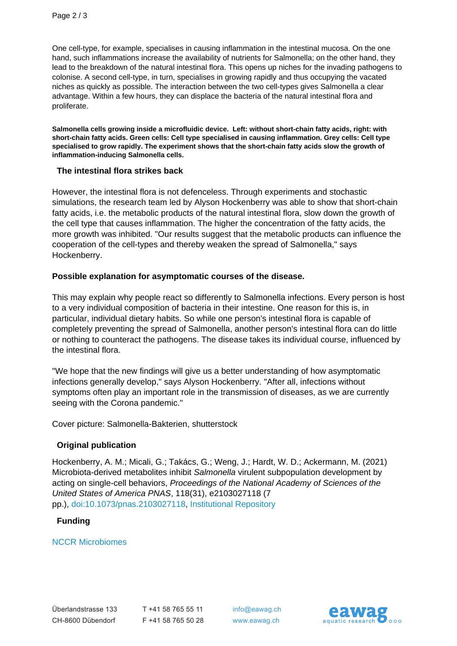One cell-type, for example, specialises in causing inflammation in the intestinal mucosa. On the one hand, such inflammations increase the availability of nutrients for Salmonella; on the other hand, they lead to the breakdown of the natural intestinal flora. This opens up niches for the invading pathogens to colonise. A second cell-type, in turn, specialises in growing rapidly and thus occupying the vacated niches as quickly as possible. The interaction between the two cell-types gives Salmonella a clear advantage. Within a few hours, they can displace the bacteria of the natural intestinal flora and proliferate.

**Salmonella cells growing inside a microfluidic device. Left: without short-chain fatty acids, right: with short-chain fatty acids. Green cells: Cell type specialised in causing inflammation. Grey cells: Cell type specialised to grow rapidly. The experiment shows that the short-chain fatty acids slow the growth of inflammation-inducing Salmonella cells.**

#### **The intestinal flora strikes back**

However, the intestinal flora is not defenceless. Through experiments and stochastic simulations, the research team led by Alyson Hockenberry was able to show that short-chain fatty acids, i.e. the metabolic products of the natural intestinal flora, slow down the growth of the cell type that causes inflammation. The higher the concentration of the fatty acids, the more growth was inhibited. "Our results suggest that the metabolic products can influence the cooperation of the cell-types and thereby weaken the spread of Salmonella," says Hockenberry.

#### **Possible explanation for asymptomatic courses of the disease.**

This may explain why people react so differently to Salmonella infections. Every person is host to a very individual composition of bacteria in their intestine. One reason for this is, in particular, individual dietary habits. So while one person's intestinal flora is capable of completely preventing the spread of Salmonella, another person's intestinal flora can do little or nothing to counteract the pathogens. The disease takes its individual course, influenced by the intestinal flora.

"We hope that the new findings will give us a better understanding of how asymptomatic infections generally develop," says Alyson Hockenberry. "After all, infections without symptoms often play an important role in the transmission of diseases, as we are currently seeing with the Corona pandemic."

Cover picture: Salmonella-Bakterien, shutterstock

#### **Original publication**

Hockenberry, A. M.; Micali, G.; Takács, G.; Weng, J.; Hardt, W. D.; Ackermann, M. (2021) Microbiota-derived metabolites inhibit Salmonella virulent subpopulation development by acting on single-cell behaviors, Proceedings of the National Academy of Sciences of the United States of America PNAS, 118(31), e2103027118 (7 pp.), [doi:10.1073/pnas.2103027118,](http://doi.org/10.1073/pnas.2103027118) [Institutional Repository](https://www.dora.lib4ri.ch/eawag/islandora/object/eawag:23305)

#### **Funding**

[NCCR Microbiomes](https://nccr-microbiomes.ch/)